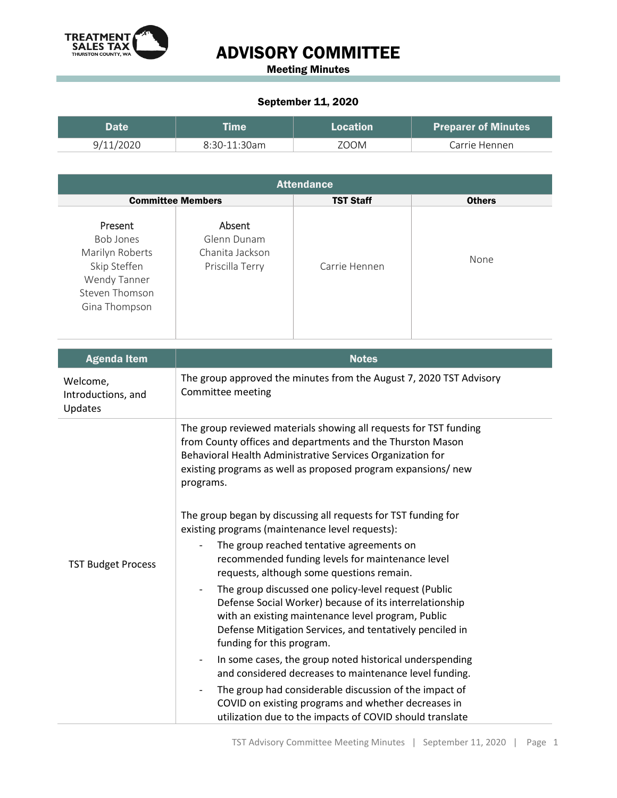

## ADVISORY COMMITTEE

Meeting Minutes

## September 11, 2020

| Doto      |                | <b>Location</b> | <b>Preparer of Minutes</b> |
|-----------|----------------|-----------------|----------------------------|
| 9/11/2020 | $8:30-11:30am$ | ZOOM            | Carrie Hennen              |

| <b>Attendance</b>                                                                                          |                                                             |                  |               |  |  |
|------------------------------------------------------------------------------------------------------------|-------------------------------------------------------------|------------------|---------------|--|--|
| <b>Committee Members</b>                                                                                   |                                                             | <b>TST Staff</b> | <b>Others</b> |  |  |
| Present<br>Bob Jones<br>Marilyn Roberts<br>Skip Steffen<br>Wendy Tanner<br>Steven Thomson<br>Gina Thompson | Absent<br>Glenn Dunam<br>Chanita Jackson<br>Priscilla Terry | Carrie Hennen    | None          |  |  |

| <b>Agenda Item</b>                        | <b>Notes</b>                                                                                                                                                                                                                                                                |  |  |
|-------------------------------------------|-----------------------------------------------------------------------------------------------------------------------------------------------------------------------------------------------------------------------------------------------------------------------------|--|--|
| Welcome,<br>Introductions, and<br>Updates | The group approved the minutes from the August 7, 2020 TST Advisory<br>Committee meeting                                                                                                                                                                                    |  |  |
| <b>TST Budget Process</b>                 | The group reviewed materials showing all requests for TST funding<br>from County offices and departments and the Thurston Mason<br>Behavioral Health Administrative Services Organization for<br>existing programs as well as proposed program expansions/ new<br>programs. |  |  |
|                                           | The group began by discussing all requests for TST funding for<br>existing programs (maintenance level requests):<br>The group reached tentative agreements on<br>recommended funding levels for maintenance level<br>requests, although some questions remain.             |  |  |
|                                           | The group discussed one policy-level request (Public<br>Defense Social Worker) because of its interrelationship<br>with an existing maintenance level program, Public<br>Defense Mitigation Services, and tentatively penciled in<br>funding for this program.              |  |  |
|                                           | In some cases, the group noted historical underspending<br>$\overline{\phantom{0}}$<br>and considered decreases to maintenance level funding.                                                                                                                               |  |  |
|                                           | The group had considerable discussion of the impact of<br>$\overline{\phantom{0}}$<br>COVID on existing programs and whether decreases in<br>utilization due to the impacts of COVID should translate                                                                       |  |  |